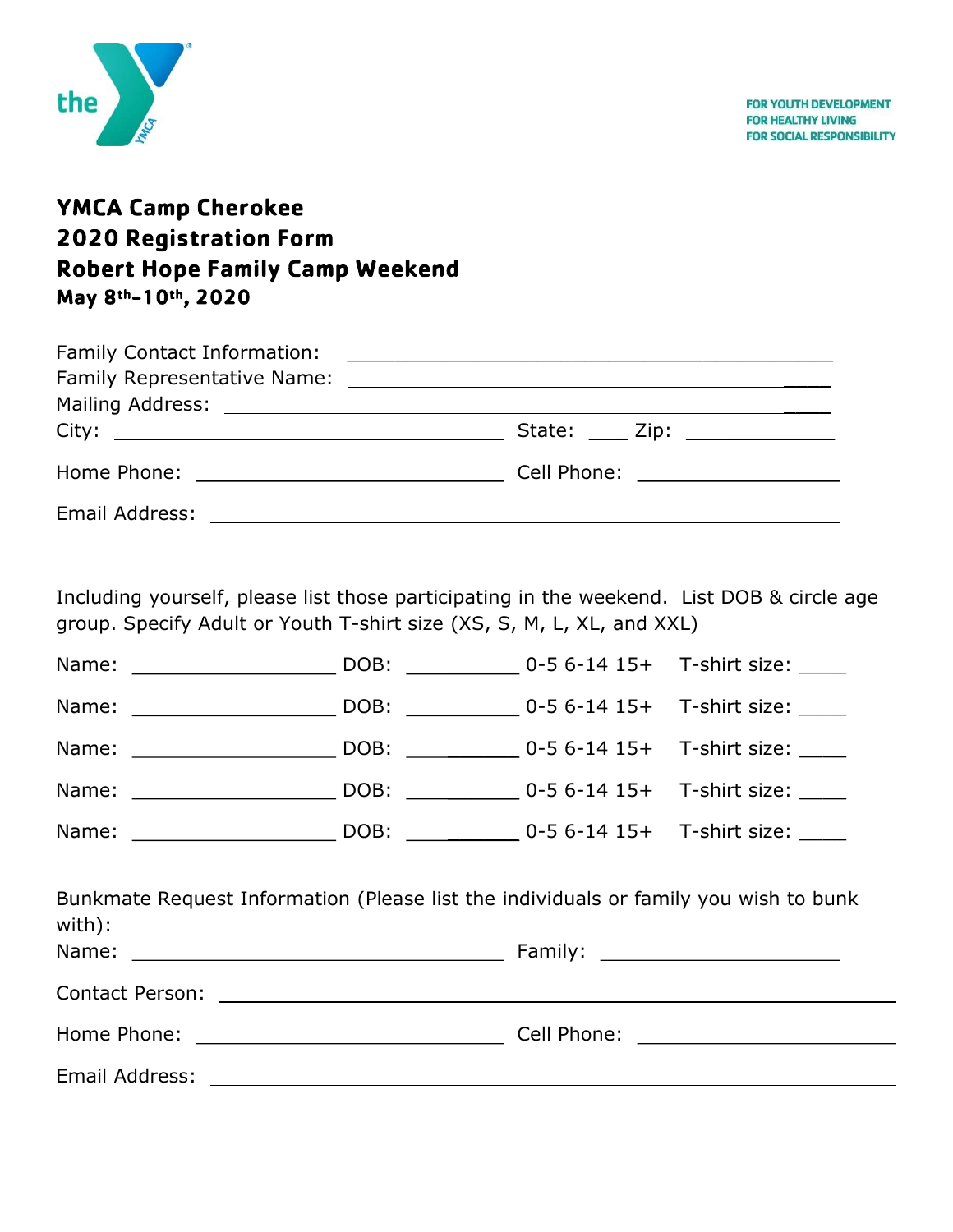

## **YMCA Camp Cherokee 2020 Registration Form Robert Hope Family Camp Weekend** May 8th-10th, 2020

| State: $\frac{1}{2}$ Zip: $\frac{1}{2}$ $\frac{1}{2}$ $\frac{1}{2}$ $\frac{1}{2}$ $\frac{1}{2}$ $\frac{1}{2}$ $\frac{1}{2}$ $\frac{1}{2}$ $\frac{1}{2}$ $\frac{1}{2}$ $\frac{1}{2}$ $\frac{1}{2}$ $\frac{1}{2}$ $\frac{1}{2}$ $\frac{1}{2}$ $\frac{1}{2}$ $\frac{1}{2}$ $\frac{1}{2}$ $\frac{1}{2}$ $\frac{1}{2}$ |
|-------------------------------------------------------------------------------------------------------------------------------------------------------------------------------------------------------------------------------------------------------------------------------------------------------------------|
|                                                                                                                                                                                                                                                                                                                   |
|                                                                                                                                                                                                                                                                                                                   |

Including yourself, please list those participating in the weekend. List DOB & circle age group. Specify Adult or Youth T-shirt size (XS, S, M, L, XL, and XXL)

| Name: 2008: 2008: 2008: 2008: 2014 15+ T-shirt size:          |  |  |
|---------------------------------------------------------------|--|--|
| Name: 2008: 2008: 2008: 2008: 2014 0-5 6-14 15+ T-shirt size: |  |  |
|                                                               |  |  |

| Bunkmate Request Information (Please list the individuals or family you wish to bunk<br>with): |  |  |  |  |  |
|------------------------------------------------------------------------------------------------|--|--|--|--|--|
|                                                                                                |  |  |  |  |  |
|                                                                                                |  |  |  |  |  |
|                                                                                                |  |  |  |  |  |
|                                                                                                |  |  |  |  |  |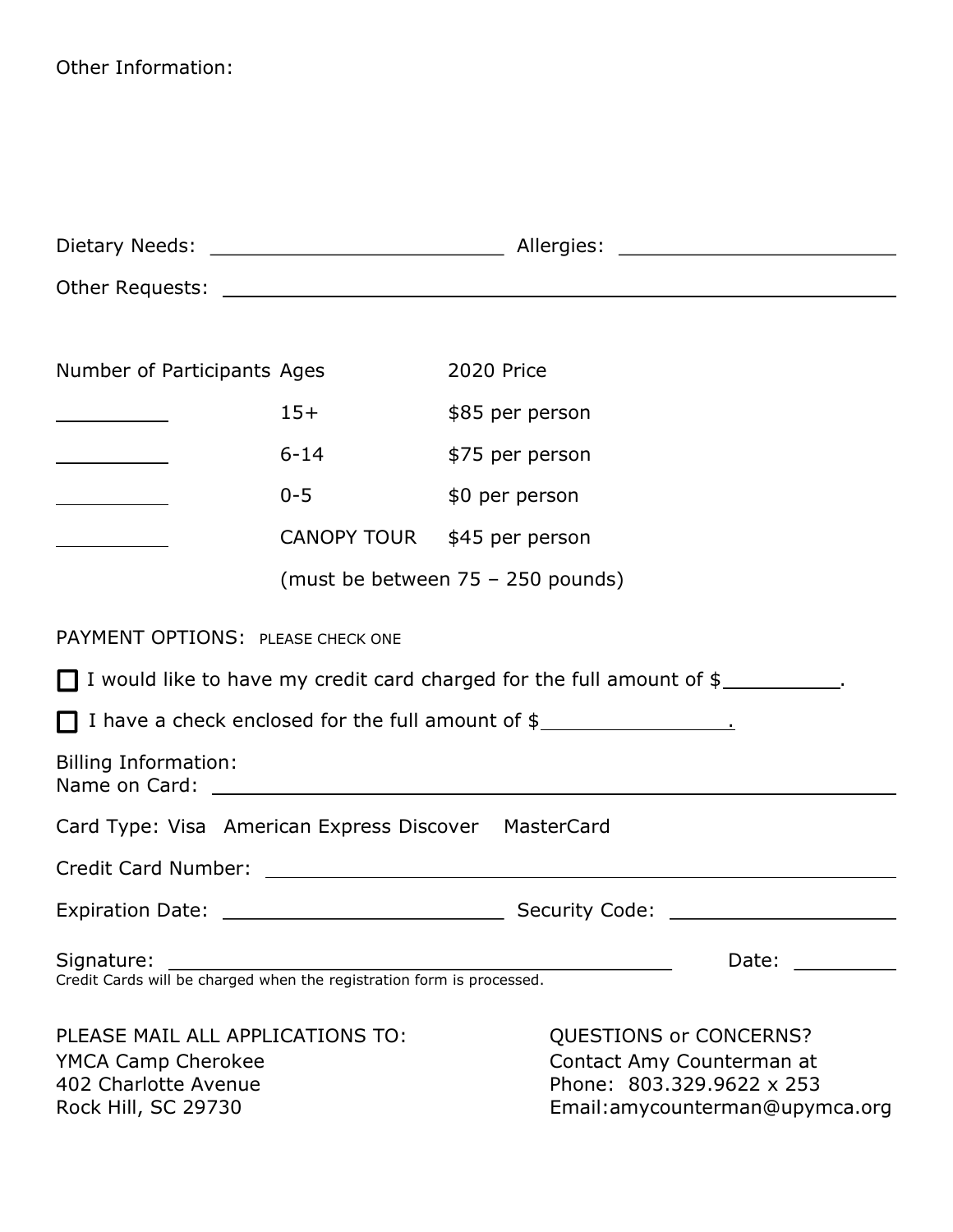Other Information:

| Number of Participants Ages                                                                                  |                                   | 2020 Price                                                                                            |                                 |  |
|--------------------------------------------------------------------------------------------------------------|-----------------------------------|-------------------------------------------------------------------------------------------------------|---------------------------------|--|
| <u> 1980 - Johann Barbara, martxa a</u>                                                                      | $15+$                             | \$85 per person                                                                                       |                                 |  |
|                                                                                                              | $6 - 14$                          | \$75 per person                                                                                       |                                 |  |
|                                                                                                              | $0 - 5$                           | \$0 per person                                                                                        |                                 |  |
| <u> 1980 - Johann Barbara, martin a</u>                                                                      | CANOPY TOUR \$45 per person       |                                                                                                       |                                 |  |
|                                                                                                              | (must be between 75 - 250 pounds) |                                                                                                       |                                 |  |
| PAYMENT OPTIONS: PLEASE CHECK ONE                                                                            |                                   |                                                                                                       |                                 |  |
|                                                                                                              |                                   | $\Box$ I would like to have my credit card charged for the full amount of $\frac{1}{2}$ ____________. |                                 |  |
|                                                                                                              |                                   | $\Box$ I have a check enclosed for the full amount of $\frac{1}{2}$ $\Box$ $\Box$ $\Box$ $\Box$       |                                 |  |
| <b>Billing Information:</b>                                                                                  |                                   |                                                                                                       |                                 |  |
| Card Type: Visa American Express Discover MasterCard                                                         |                                   |                                                                                                       |                                 |  |
|                                                                                                              |                                   |                                                                                                       |                                 |  |
|                                                                                                              |                                   |                                                                                                       |                                 |  |
| Signature:<br>Credit Cards will be charged when the registration form is processed.                          |                                   |                                                                                                       | Date:                           |  |
| PLEASE MAIL ALL APPLICATIONS TO:<br><b>YMCA Camp Cherokee</b><br>402 Charlotte Avenue<br>Rock Hill, SC 29730 |                                   | QUESTIONS or CONCERNS?<br>Contact Amy Counterman at<br>Phone: 803.329.9622 x 253                      | Email: amycounterman@upymca.org |  |